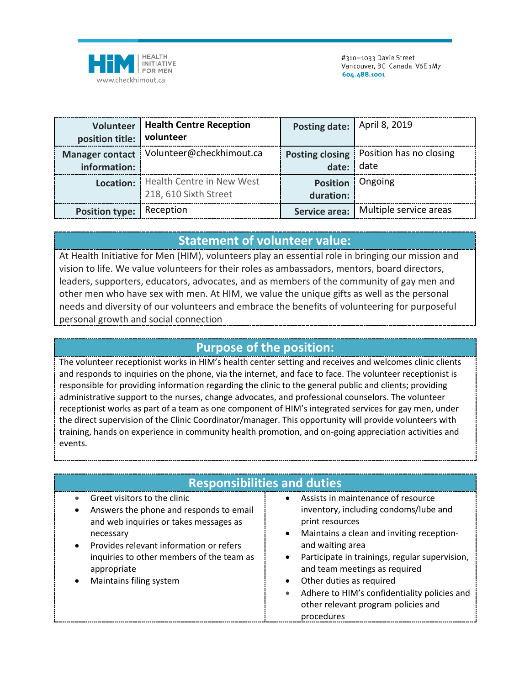

|                           | <b>Volunteer   Health Centre Reception</b> | Posting date: April 8, 2019 |                                           |
|---------------------------|--------------------------------------------|-----------------------------|-------------------------------------------|
| position title: volunteer |                                            |                             |                                           |
|                           | Manager contact   Volunteer@checkhimout.ca |                             | Posting closing   Position has no closing |
| information:              |                                            | date:                       | $ $ date                                  |
|                           | Location:   Health Centre in New West      |                             | Position Ongoing                          |
|                           | 218, 610 Sixth Street                      | duration:                   |                                           |
| Position type: Reception  |                                            | Service area:               | Multiple service areas                    |

## **Statement of volunteer value:**

At Health Initiative for Men (HIM), volunteers play an essential role in bringing our mission and vision to life. We value volunteers for their roles as ambassadors, mentors, board directors, leaders, supporters, educators, advocates, and as members of the community of gay men and other men who have sex with men. At HIM, we value the unique gifts as well as the personal needs and diversity of our volunteers and embrace the benefits of volunteering for purposeful personal growth and social connection

## **Purpose of the position:**

The volunteer receptionist works in HIM's health center setting and receives and welcomes clinic clients and responds to inquiries on the phone, via the internet, and face to face. The volunteer receptionist is responsible for providing information regarding the clinic to the general public and clients; providing administrative support to the nurses, change advocates, and professional counselors. The volunteer receptionist works as part of a team as one component of HIM's integrated services for gay men, under the direct supervision of the Clinic Coordinator/manager. This opportunity will provide volunteers with training, hands on experience in community health promotion, and on-going appreciation activities and events.

| <b>Responsibilities and duties</b>                                                                                                                                                                                                                                                         |                                                                                                                                                                                                                                                                                                                                                                                                               |  |  |
|--------------------------------------------------------------------------------------------------------------------------------------------------------------------------------------------------------------------------------------------------------------------------------------------|---------------------------------------------------------------------------------------------------------------------------------------------------------------------------------------------------------------------------------------------------------------------------------------------------------------------------------------------------------------------------------------------------------------|--|--|
| Greet visitors to the clinic<br>$\bullet$<br>Answers the phone and responds to email<br>$\bullet$<br>and web inquiries or takes messages as<br>necessary<br>Provides relevant information or refers<br>inquiries to other members of the team as<br>appropriate<br>Maintains filing system | Assists in maintenance of resource<br>$\bullet$<br>inventory, including condoms/lube and<br>print resources<br>Maintains a clean and inviting reception-<br>$\bullet$<br>and waiting area<br>Participate in trainings, regular supervision,<br>and team meetings as required<br>Other duties as required<br>Adhere to HIM's confidentiality policies and<br>other relevant program policies and<br>procedures |  |  |